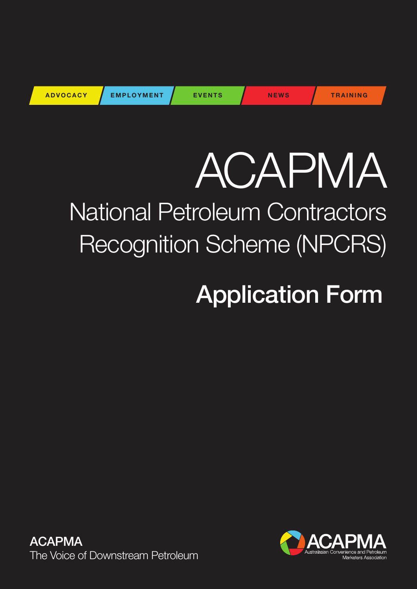| <b>ADVOCACY</b> | <b>EMPLOYMENT</b> | <b>EVENTS</b> | <b>NEWS</b> | <b>TRAINING</b> |
|-----------------|-------------------|---------------|-------------|-----------------|
|                 |                   |               |             |                 |

# ACAPMA National Petroleum Contractors Recognition Scheme (NPCRS)

## Application Form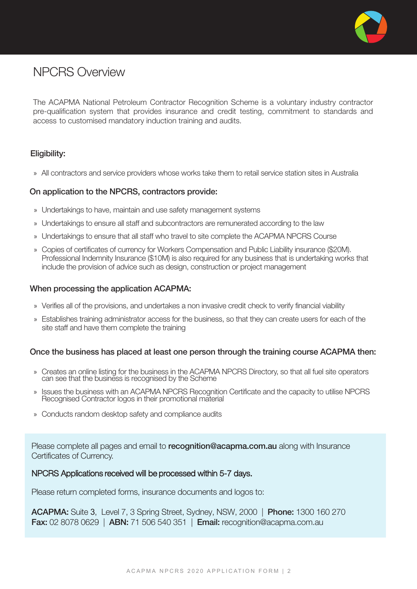

## NPCRS Overview

The ACAPMA National Petroleum Contractor Recognition Scheme is a voluntary industry contractor pre-qualification system that provides insurance and credit testing, commitment to standards and access to customised mandatory induction training and audits.

### Eligibility:

» All contractors and service providers whose works take them to retail service station sites in Australia

#### On application to the NPCRS, contractors provide:

- » Undertakings to have, maintain and use safety management systems
- » Undertakings to ensure all staff and subcontractors are remunerated according to the law
- » Undertakings to ensure that all staff who travel to site complete the ACAPMA NPCRS Course
- » Copies of certificates of currency for Workers Compensation and Public Liability insurance (\$20M). Professional Indemnity Insurance (\$10M) is also required for any business that is undertaking works that include the provision of advice such as design, construction or project management

#### When processing the application ACAPMA:

- » Verifies all of the provisions, and undertakes a non invasive credit check to verify financial viability
- » Establishes training administrator access for the business, so that they can create users for each of the site staff and have them complete the training

#### Once the business has placed at least one person through the training course ACAPMA then:

- » Creates an online listing for the business in the ACAPMA NPCRS Directory, so that all fuel site operators can see that the business is recognised by the Scheme
- » Issues the business with an ACAPMA NPCRS Recognition Certificate and the capacity to utilise NPCRS Recognised Contractor logos in their promotional material
- » Conducts random desktop safety and compliance audits

Please complete all pages and email to **recognition@acapma.com.au** along with Insurance Certificates of Currency.

#### NPCRS Applications received will be processed within 5-7 days.

Please return completed forms, insurance documents and logos to:

ACAPMA: Suite 3, Level 7, 3 Spring Street, Sydney, NSW, 2000 | Phone: 1300 160 270 Fax: 02 8078 0629 | ABN: 71 506 540 351 | Email: recognition@acapma.com.au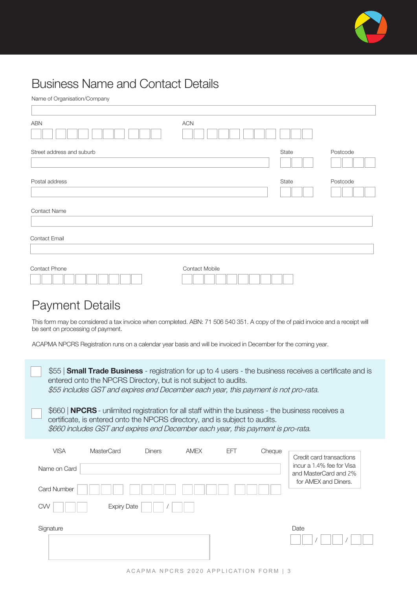

## Business Name and Contact Details

| <b>ABN</b>                | <b>ACN</b>     |       |          |
|---------------------------|----------------|-------|----------|
| Street address and suburb |                | State | Postcode |
|                           |                |       |          |
| Postal address            |                | State | Postcode |
|                           |                |       |          |
| <b>Contact Name</b>       |                |       |          |
| Contact Email             |                |       |          |
|                           |                |       |          |
| Contact Phone             | Contact Mobile |       |          |
|                           |                |       |          |

## Payment Details

This form may be considered a tax invoice when completed. ABN: 71 506 540 351. A copy of the of paid invoice and a receipt will be sent on processing of payment.

ACAPMA NPCRS Registration runs on a calendar year basis and will be invoiced in December for the coming year.

| \$55   <b>Small Trade Business</b> - registration for up to 4 users - the business receives a certificate and is<br>entered onto the NPCRS Directory, but is not subject to audits.<br>\$55 includes GST and expires end December each year, this payment is not pro-rata.<br>\$660   <b>NPCRS</b> - unlimited registration for all staff within the business - the business receives a |                                                                                                                                                                 |               |             |     |        |                                                                            |  |  |
|-----------------------------------------------------------------------------------------------------------------------------------------------------------------------------------------------------------------------------------------------------------------------------------------------------------------------------------------------------------------------------------------|-----------------------------------------------------------------------------------------------------------------------------------------------------------------|---------------|-------------|-----|--------|----------------------------------------------------------------------------|--|--|
|                                                                                                                                                                                                                                                                                                                                                                                         | certificate, is entered onto the NPCRS directory, and is subject to audits.<br>\$660 includes GST and expires end December each year, this payment is pro-rata. |               |             |     |        |                                                                            |  |  |
| <b>VISA</b>                                                                                                                                                                                                                                                                                                                                                                             | MasterCard                                                                                                                                                      | <b>Diners</b> | <b>AMEX</b> | EFT | Cheque | Credit card transactions                                                   |  |  |
| Name on Card                                                                                                                                                                                                                                                                                                                                                                            |                                                                                                                                                                 |               |             |     |        | incur a 1.4% fee for Visa<br>and MasterCard and 2%<br>for AMEX and Diners. |  |  |
| <b>Card Number</b>                                                                                                                                                                                                                                                                                                                                                                      |                                                                                                                                                                 |               |             |     |        |                                                                            |  |  |
| <b>Expiry Date</b><br><b>CVV</b>                                                                                                                                                                                                                                                                                                                                                        |                                                                                                                                                                 |               |             |     |        |                                                                            |  |  |
| Signature                                                                                                                                                                                                                                                                                                                                                                               |                                                                                                                                                                 |               |             |     |        | Date                                                                       |  |  |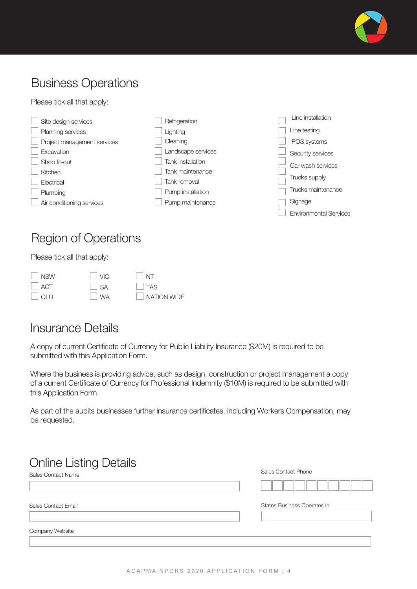

## Business Operations

Please tick all that apply:



## Region of Operations

Please tick all that apply:

| NSW        | $ $ $ $ VIC    | $\vert$ NT         |
|------------|----------------|--------------------|
| $\Box$ ACT | $ $ $\vert$ SA | $\Box$ TAS         |
| $\Box$ QLD | $\vert$ WA     | $\Box$ NATION WIDE |

## Insurance Details

A copy of current Certificate of Currency for Public Liability Insurance (\$20M) is required to be submitted with this Application Form.

Where the business is providing advice, such as design, construction or project management a copy of a current Certificate of Currency for Professional Indemnity (\$10M) is required to be submitted with this Application Form.

As part of the audits businesses further insurance certificates, including Workers Compensation, may be requested.

## Online Listing Details

Sales Contact Name

Sales Contact Email States Business Operates In States Business Operates In States Business Operates In

Company Website